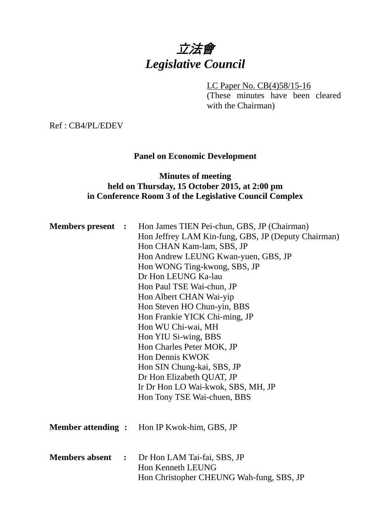# 立法會 *Legislative Council*

LC Paper No. CB(4)58/15-16 (These minutes have been cleared

with the Chairman)

Ref : CB4/PL/EDEV

# **Panel on Economic Development**

## **Minutes of meeting held on Thursday, 15 October 2015, at 2:00 pm in Conference Room 3 of the Legislative Council Complex**

| <b>Members present :</b> | Hon James TIEN Pei-chun, GBS, JP (Chairman)<br>Hon Jeffrey LAM Kin-fung, GBS, JP (Deputy Chairman)<br>Hon CHAN Kam-lam, SBS, JP<br>Hon Andrew LEUNG Kwan-yuen, GBS, JP<br>Hon WONG Ting-kwong, SBS, JP<br>Dr Hon LEUNG Ka-lau<br>Hon Paul TSE Wai-chun, JP<br>Hon Albert CHAN Wai-yip<br>Hon Steven HO Chun-yin, BBS<br>Hon Frankie YICK Chi-ming, JP<br>Hon WU Chi-wai, MH<br>Hon YIU Si-wing, BBS<br>Hon Charles Peter MOK, JP<br>Hon Dennis KWOK<br>Hon SIN Chung-kai, SBS, JP<br>Dr Hon Elizabeth QUAT, JP<br>Ir Dr Hon LO Wai-kwok, SBS, MH, JP<br>Hon Tony TSE Wai-chuen, BBS |
|--------------------------|-------------------------------------------------------------------------------------------------------------------------------------------------------------------------------------------------------------------------------------------------------------------------------------------------------------------------------------------------------------------------------------------------------------------------------------------------------------------------------------------------------------------------------------------------------------------------------------|
|                          | <b>Member attending :</b> Hon IP Kwok-him, GBS, JP                                                                                                                                                                                                                                                                                                                                                                                                                                                                                                                                  |
|                          | <b>Members absent :</b> Dr Hon LAM Tai-fai, SBS, JP<br>Hon Kenneth LEUNG<br>Hon Christopher CHEUNG Wah-fung, SBS, JP                                                                                                                                                                                                                                                                                                                                                                                                                                                                |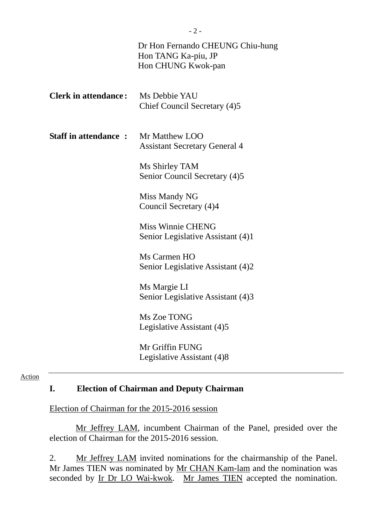|                             | Dr Hon Fernando CHEUNG Chiu-hung<br>Hon TANG Ka-piu, JP<br>Hon CHUNG Kwok-pan |
|-----------------------------|-------------------------------------------------------------------------------|
| <b>Clerk in attendance:</b> | Ms Debbie YAU<br>Chief Council Secretary (4)5                                 |
| <b>Staff in attendance:</b> | Mr Matthew LOO<br><b>Assistant Secretary General 4</b>                        |
|                             | Ms Shirley TAM<br>Senior Council Secretary (4)5                               |
|                             | Miss Mandy NG<br>Council Secretary (4)4                                       |
|                             | <b>Miss Winnie CHENG</b><br>Senior Legislative Assistant (4)1                 |
|                             | Ms Carmen HO<br>Senior Legislative Assistant (4)2                             |
|                             | Ms Margie LI<br>Senior Legislative Assistant (4)3                             |
|                             | Ms Zoe TONG<br>Legislative Assistant (4)5                                     |
|                             | Mr Griffin FUNG<br>Legislative Assistant (4)8                                 |

#### Action

#### **I. Election of Chairman and Deputy Chairman**

Election of Chairman for the 2015-2016 session

Mr Jeffrey LAM, incumbent Chairman of the Panel, presided over the election of Chairman for the 2015-2016 session.

2. Mr Jeffrey LAM invited nominations for the chairmanship of the Panel. Mr James TIEN was nominated by Mr CHAN Kam-lam and the nomination was seconded by Ir Dr LO Wai-kwok. Mr James TIEN accepted the nomination.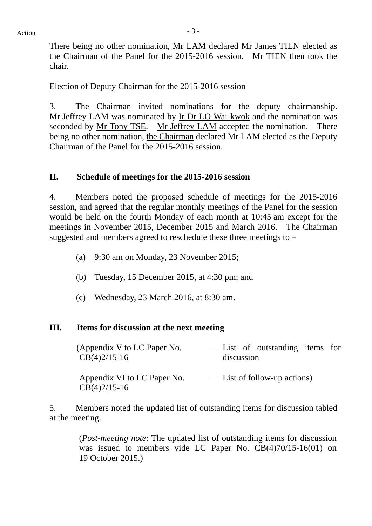$Action$ 

There being no other nomination, Mr LAM declared Mr James TIEN elected as the Chairman of the Panel for the 2015-2016 session. Mr TIEN then took the chair.

# Election of Deputy Chairman for the 2015-2016 session

3. The Chairman invited nominations for the deputy chairmanship. Mr Jeffrey LAM was nominated by Ir Dr LO Wai-kwok and the nomination was seconded by Mr Tony TSE. Mr Jeffrey LAM accepted the nomination. There being no other nomination, the Chairman declared Mr LAM elected as the Deputy Chairman of the Panel for the 2015-2016 session.

# **II. Schedule of meetings for the 2015-2016 session**

4. Members noted the proposed schedule of meetings for the 2015-2016 session, and agreed that the regular monthly meetings of the Panel for the session would be held on the fourth Monday of each month at 10:45 am except for the meetings in November 2015, December 2015 and March 2016. The Chairman suggested and members agreed to reschedule these three meetings to –

- (a) 9:30 am on Monday, 23 November 2015;
- (b) Tuesday, 15 December 2015, at 4:30 pm; and
- (c) Wednesday, 23 March 2016, at 8:30 am.

# **III. Items for discussion at the next meeting**

(Appendix V to LC Paper No. CB(4)2/15-16 ― List of outstanding items for discussion

Appendix VI to LC Paper No. CB(4)2/15-16 ― List of follow-up actions)

5. Members noted the updated list of outstanding items for discussion tabled at the meeting.

> (*Post-meeting note*: The updated list of outstanding items for discussion was issued to members vide LC Paper No. CB(4)70/15-16(01) on 19 October 2015.)